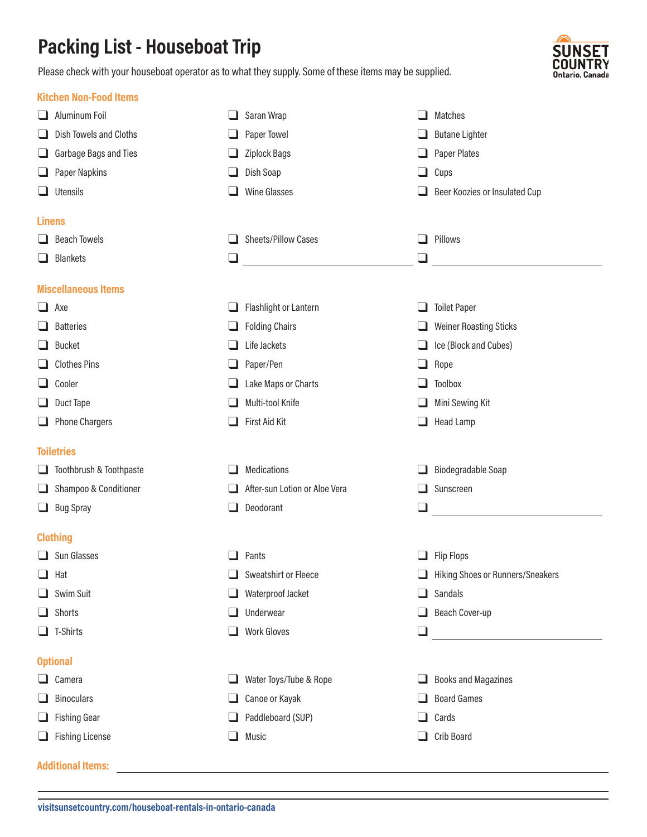## **Packing List - Houseboat Trip**

Please check with your houseboat operator as to what they supply. Some of these items may be supplied.



|                   | <b>Kitchen Non-Food Items</b> |          |                               |        |                                         |  |  |  |
|-------------------|-------------------------------|----------|-------------------------------|--------|-----------------------------------------|--|--|--|
|                   | Aluminum Foil                 | ப        | Saran Wrap                    |        | Matches                                 |  |  |  |
| $\Box$            | Dish Towels and Cloths        |          | Paper Towel                   |        | <b>Butane Lighter</b>                   |  |  |  |
| $\Box$            | Garbage Bags and Ties         |          | Ziplock Bags                  |        | Paper Plates                            |  |  |  |
| $\Box$            | Paper Napkins                 |          | Dish Soap                     |        | Cups                                    |  |  |  |
|                   | $\Box$ Utensils               |          | <b>Wine Glasses</b>           |        | Beer Koozies or Insulated Cup           |  |  |  |
| <b>Linens</b>     |                               |          |                               |        |                                         |  |  |  |
|                   | $\Box$ Beach Towels           | ப        | Sheets/Pillow Cases           | ப      | Pillows                                 |  |  |  |
|                   | $\Box$ Blankets               | ⊔        |                               | $\Box$ |                                         |  |  |  |
|                   | <b>Miscellaneous Items</b>    |          |                               |        |                                         |  |  |  |
|                   | $\Box$ Axe                    | ப        | Flashlight or Lantern         |        | <b>Toilet Paper</b>                     |  |  |  |
| ⊔.                | <b>Batteries</b>              |          | <b>Folding Chairs</b>         |        | <b>Weiner Roasting Sticks</b>           |  |  |  |
| $\Box$            | <b>Bucket</b>                 |          | Life Jackets                  |        | Ice (Block and Cubes)                   |  |  |  |
|                   | $\Box$ Clothes Pins           |          | Paper/Pen                     |        | Rope                                    |  |  |  |
|                   | $\Box$ Cooler                 |          | Lake Maps or Charts           |        | Toolbox                                 |  |  |  |
|                   | $\Box$ Duct Tape              |          | Multi-tool Knife              |        | Mini Sewing Kit                         |  |  |  |
|                   | $\Box$ Phone Chargers         |          | First Aid Kit                 |        | Head Lamp                               |  |  |  |
| <b>Toiletries</b> |                               |          |                               |        |                                         |  |  |  |
|                   | Toothbrush & Toothpaste       |          | Medications                   |        | Biodegradable Soap                      |  |  |  |
|                   | Shampoo & Conditioner         |          | After-sun Lotion or Aloe Vera | ப      | Sunscreen                               |  |  |  |
|                   | $\Box$ Bug Spray              | $\sqcup$ | Deodorant                     | ❏      |                                         |  |  |  |
|                   | <b>Clothing</b>               |          |                               |        |                                         |  |  |  |
|                   | $\Box$ Sun Glasses            | $\Box$   | Pants                         | u.     | <b>Flip Flops</b>                       |  |  |  |
|                   | $\Box$ Hat                    |          | Sweatshirt or Fleece          | ப      | <b>Hiking Shoes or Runners/Sneakers</b> |  |  |  |
|                   | $\Box$ Swim Suit              | ⊔        | Waterproof Jacket             | ப      | Sandals                                 |  |  |  |
|                   | $\Box$ Shorts                 |          | Underwear                     | ப      | Beach Cover-up                          |  |  |  |
|                   | $\Box$ T-Shirts               |          | <b>Work Gloves</b>            | $\Box$ |                                         |  |  |  |
|                   | <b>Optional</b>               |          |                               |        |                                         |  |  |  |
|                   |                               | ⊔.       | Water Toys/Tube & Rope        | ப      | <b>Books and Magazines</b>              |  |  |  |
|                   | $\Box$ Camera                 |          |                               |        |                                         |  |  |  |
|                   | <b>Binoculars</b>             | ⊔.       | Canoe or Kayak                |        | <b>Board Games</b>                      |  |  |  |
| ⊔                 | Fishing Gear                  |          | Paddleboard (SUP)             |        | Cards                                   |  |  |  |
|                   | $\Box$ Fishing License        |          | Music                         | ப      | Crib Board                              |  |  |  |